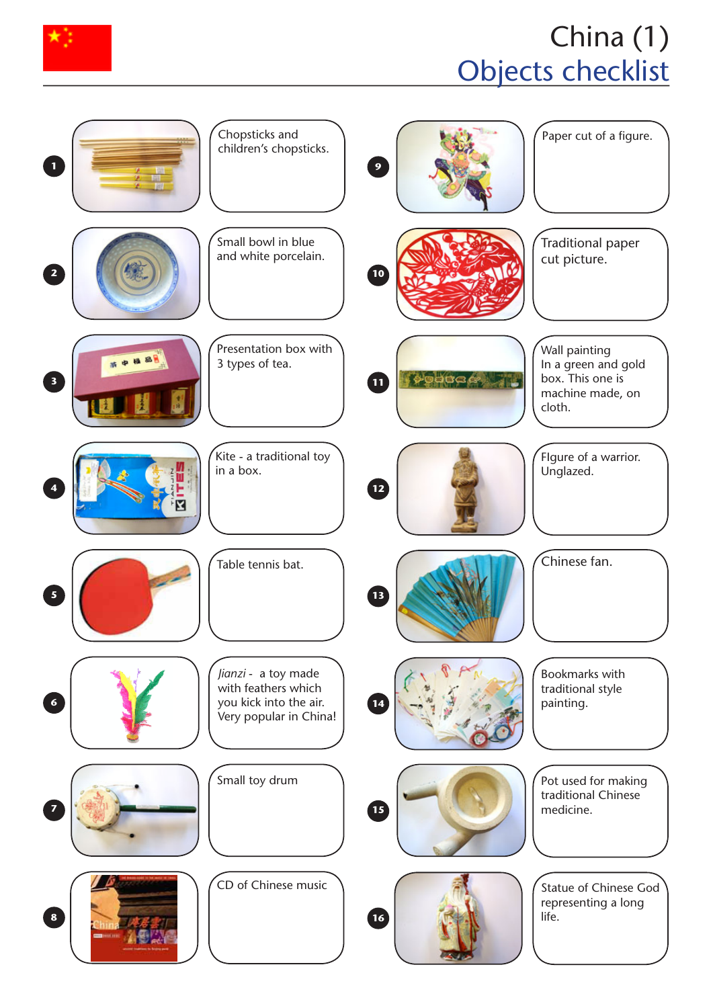

## China (1) Objects checklist